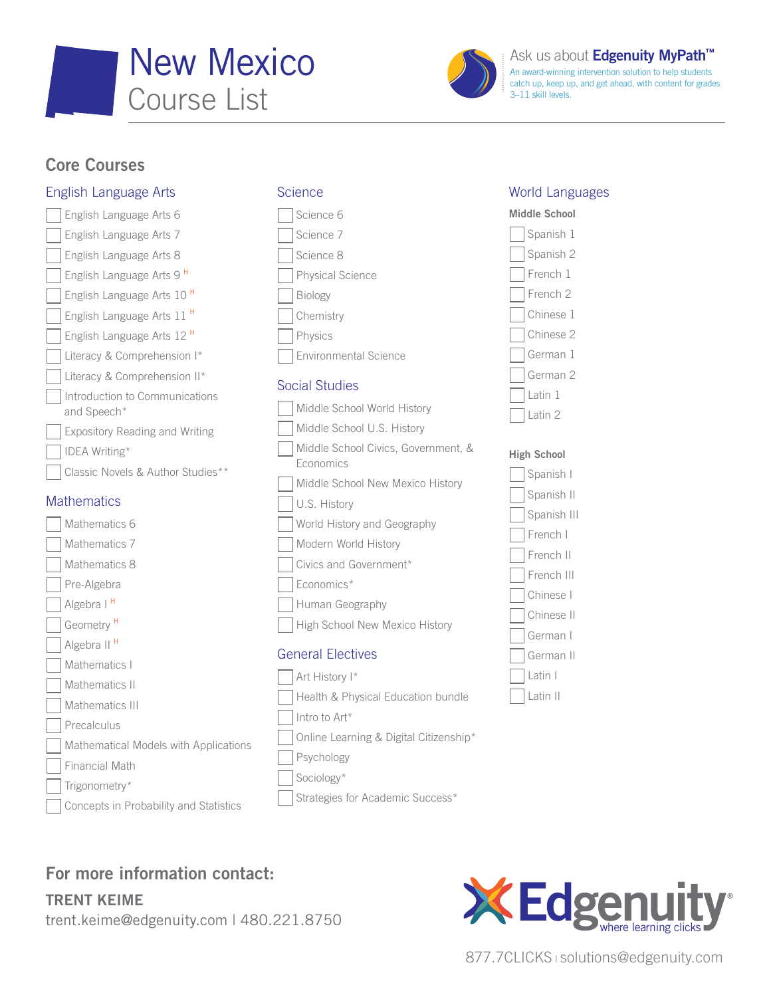



An award-winning intervention solution to help students catch up, keep up, and get ahead, with content for grades 3–11 skill levels.

## Core Courses

### English Language Arts

English Language Arts 6 English Language Arts 7 English Language Arts 8 English Language Arts 9 <sup>H</sup> English Language Arts 10 <sup>H</sup> English Language Arts 11 <sup>H</sup> English Language Arts 12 <sup>H</sup> Literacy & Comprehension I\* Literacy & Comprehension II\* Introduction to Communications and Speech\* Expository Reading and Writing IDEA Writing\* Classic Novels & Author Studies\*\*

### **Mathematics**

| Mathematics                            | U.S. History                           |
|----------------------------------------|----------------------------------------|
| Mathematics 6                          | World History and Geography            |
| Mathematics 7                          | Modern World History                   |
| Mathematics 8                          | Civics and Government*                 |
| Pre-Algebra                            | Economics*                             |
| Algebra I <sup>H</sup>                 | Human Geography                        |
| Geometry <sup>H</sup>                  | High School New Mexico History         |
| Algebra II <sup>H</sup>                | <b>General Electives</b>               |
| Mathematics I                          |                                        |
| Mathematics II                         | Art History I*                         |
| Mathematics III                        | Health & Physical Education bundle     |
| Precalculus                            | Intro to Art*                          |
| Mathematical Models with Applications  | Online Learning & Digital Citizenship* |
| <b>Financial Math</b>                  | Psychology                             |
| Trigonometry*                          | Sociology*                             |
| Concepts in Probability and Statistics | Strategies for Academic Success*       |

**Science** 

Science 6 Science 7 Science 8

Biology **Chemistry** Physics

Social Studies

**Economics** 

Physical Science

Environmental Science

Middle School World History Middle School U.S. History

Middle School Civics, Government, &

Middle School New Mexico History

### World Languages





### High School

| Spanish I    |
|--------------|
| Spanish II   |
| Spanish III  |
| l French I   |
| l French II  |
| l French III |
| Chinese      |
| Chinese II   |
| German I     |
| German II    |
| Latin I      |
| Latin II     |

# For more information contact:

TRENT KEIME trent.keime@edgenuity.com | 480.221.8750